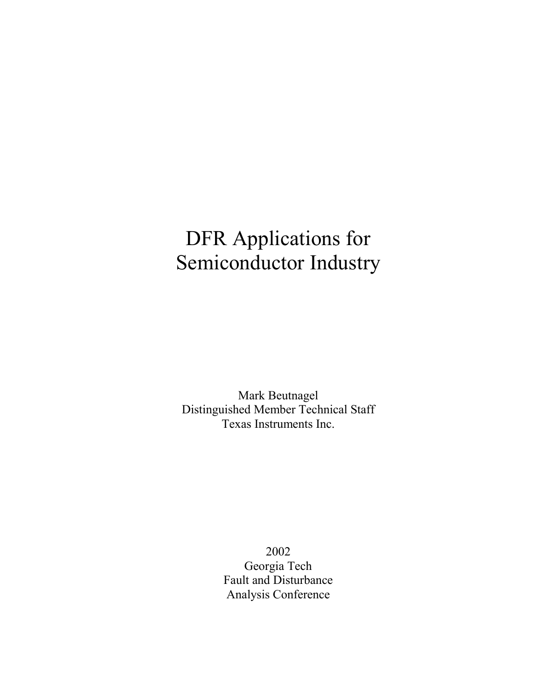# DFR Applications for Semiconductor Industry

Mark Beutnagel Distinguished Member Technical Staff Texas Instruments Inc.

> 2002 Georgia Tech Fault and Disturbance Analysis Conference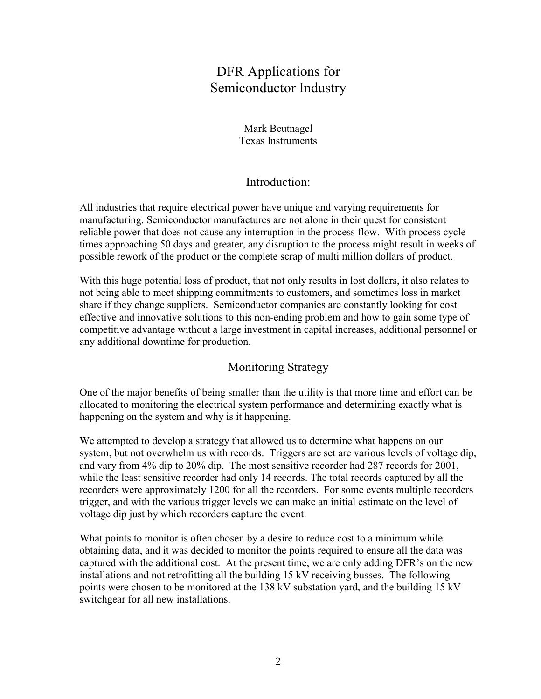# DFR Applications for Semiconductor Industry

Mark Beutnagel Texas Instruments

#### Introduction:

All industries that require electrical power have unique and varying requirements for manufacturing. Semiconductor manufactures are not alone in their quest for consistent reliable power that does not cause any interruption in the process flow. With process cycle times approaching 50 days and greater, any disruption to the process might result in weeks of possible rework of the product or the complete scrap of multi million dollars of product.

With this huge potential loss of product, that not only results in lost dollars, it also relates to not being able to meet shipping commitments to customers, and sometimes loss in market share if they change suppliers. Semiconductor companies are constantly looking for cost effective and innovative solutions to this non-ending problem and how to gain some type of competitive advantage without a large investment in capital increases, additional personnel or any additional downtime for production.

#### Monitoring Strategy

One of the major benefits of being smaller than the utility is that more time and effort can be allocated to monitoring the electrical system performance and determining exactly what is happening on the system and why is it happening.

We attempted to develop a strategy that allowed us to determine what happens on our system, but not overwhelm us with records. Triggers are set are various levels of voltage dip, and vary from 4% dip to 20% dip. The most sensitive recorder had 287 records for 2001, while the least sensitive recorder had only 14 records. The total records captured by all the recorders were approximately 1200 for all the recorders. For some events multiple recorders trigger, and with the various trigger levels we can make an initial estimate on the level of voltage dip just by which recorders capture the event.

What points to monitor is often chosen by a desire to reduce cost to a minimum while obtaining data, and it was decided to monitor the points required to ensure all the data was captured with the additional cost. At the present time, we are only adding DFR's on the new installations and not retrofitting all the building 15 kV receiving busses. The following points were chosen to be monitored at the 138 kV substation yard, and the building 15 kV switchgear for all new installations.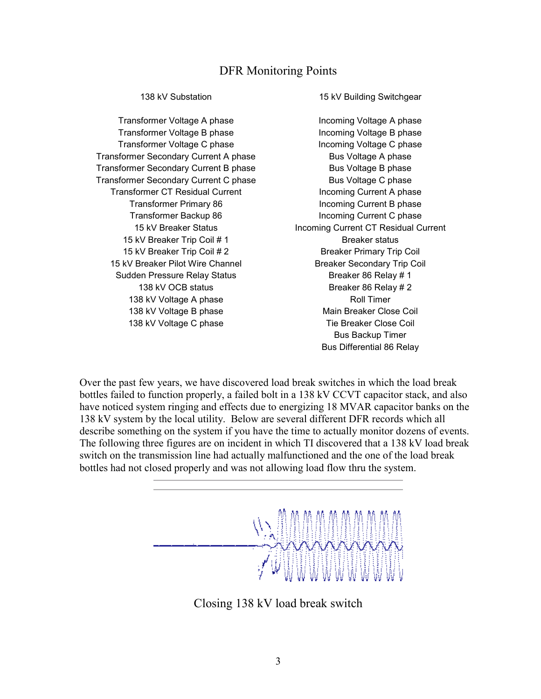#### DFR Monitoring Points

Transformer Voltage B phase Incoming Voltage B phase Transformer Voltage C phase Incoming Voltage C phase Transformer Secondary Current A phase Bus Voltage A phase Transformer Secondary Current B phase Bus Voltage B phase Transformer Secondary Current C phase Bus Voltage C phase Transformer CT Residual Current **Incoming Current A** phase Transformer Primary 86 Incoming Current B phase Transformer Backup 86 Incoming Current C phase 15 kV Breaker Trip Coil # 1 Breaker status 15 kV Breaker Trip Coil # 2 Breaker Primary Trip Coil 15 kV Breaker Pilot Wire Channel Breaker Secondary Trip Coil Sudden Pressure Relay Status Breaker 86 Relay # 1 138 kV OCB status Breaker 86 Relay # 2 138 kV Voltage A phase Roll Timer 138 kV Voltage B phase Main Breaker Close Coil 138 kV Voltage C phase Tie Breaker Close Coil

138 kV Substation 15 kV Building Switchgear

Transformer Voltage A phase Incoming Voltage A phase 15 kV Breaker Status Incoming Current CT Residual Current Bus Backup Timer Bus Differential 86 Relay

Over the past few years, we have discovered load break switches in which the load break bottles failed to function properly, a failed bolt in a 138 kV CCVT capacitor stack, and also have noticed system ringing and effects due to energizing 18 MVAR capacitor banks on the 138 kV system by the local utility. Below are several different DFR records which all describe something on the system if you have the time to actually monitor dozens of events. The following three figures are on incident in which TI discovered that a 138 kV load break switch on the transmission line had actually malfunctioned and the one of the load break bottles had not closed properly and was not allowing load flow thru the system.



Closing 138 kV load break switch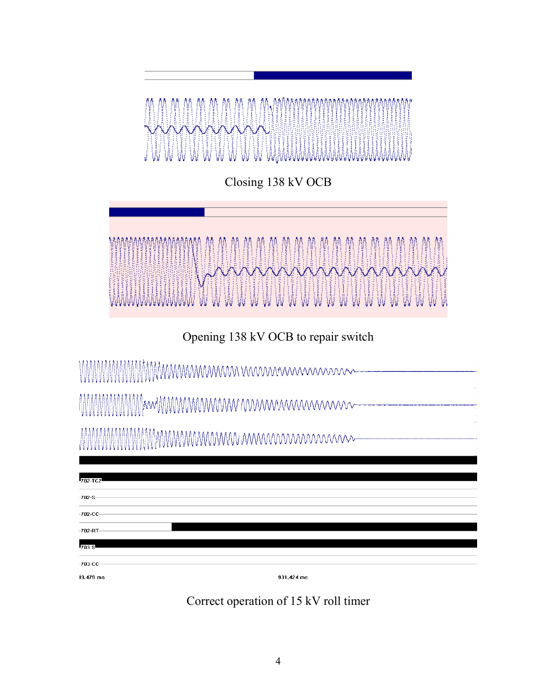

Closing 138 kV OCB



Opening 138 kV OCB to repair switch

| 702-TC2                |            |  |
|------------------------|------------|--|
| $-702-S$               |            |  |
| $-702 - CC -$          |            |  |
| $-702 - RT -$<br>703 S |            |  |
| $-703 - CC$            |            |  |
| 19.479 ms              | 931.424 ms |  |

Correct operation of 15 kV roll timer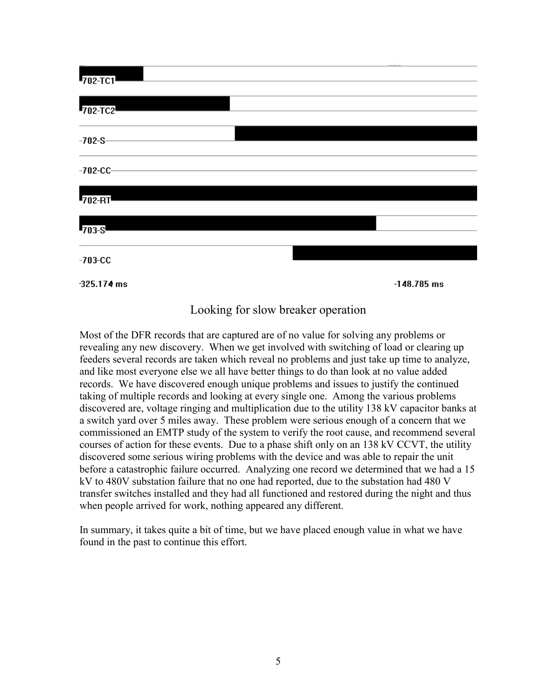

### Looking for slow breaker operation

Most of the DFR records that are captured are of no value for solving any problems or revealing any new discovery. When we get involved with switching of load or clearing up feeders several records are taken which reveal no problems and just take up time to analyze, and like most everyone else we all have better things to do than look at no value added records. We have discovered enough unique problems and issues to justify the continued taking of multiple records and looking at every single one. Among the various problems discovered are, voltage ringing and multiplication due to the utility 138 kV capacitor banks at a switch yard over 5 miles away. These problem were serious enough of a concern that we commissioned an EMTP study of the system to verify the root cause, and recommend several courses of action for these events. Due to a phase shift only on an 138 kV CCVT, the utility discovered some serious wiring problems with the device and was able to repair the unit before a catastrophic failure occurred. Analyzing one record we determined that we had a 15 kV to 480V substation failure that no one had reported, due to the substation had 480 V transfer switches installed and they had all functioned and restored during the night and thus when people arrived for work, nothing appeared any different.

In summary, it takes quite a bit of time, but we have placed enough value in what we have found in the past to continue this effort.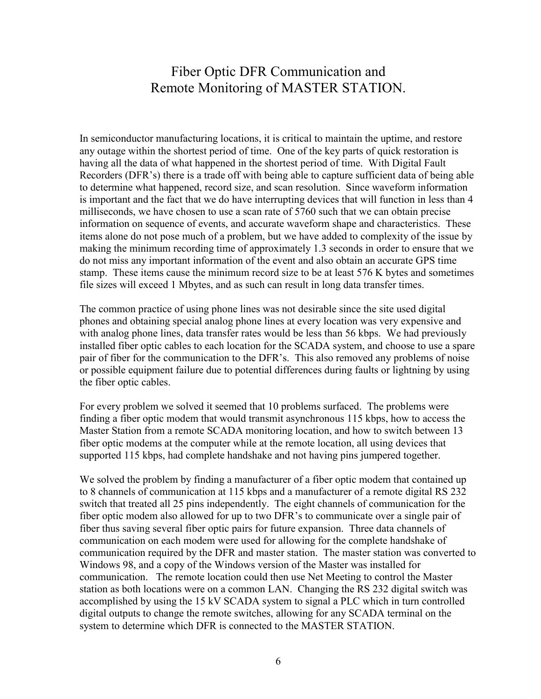## Fiber Optic DFR Communication and Remote Monitoring of MASTER STATION.

In semiconductor manufacturing locations, it is critical to maintain the uptime, and restore any outage within the shortest period of time. One of the key parts of quick restoration is having all the data of what happened in the shortest period of time. With Digital Fault Recorders (DFR's) there is a trade off with being able to capture sufficient data of being able to determine what happened, record size, and scan resolution. Since waveform information is important and the fact that we do have interrupting devices that will function in less than 4 milliseconds, we have chosen to use a scan rate of 5760 such that we can obtain precise information on sequence of events, and accurate waveform shape and characteristics. These items alone do not pose much of a problem, but we have added to complexity of the issue by making the minimum recording time of approximately 1.3 seconds in order to ensure that we do not miss any important information of the event and also obtain an accurate GPS time stamp. These items cause the minimum record size to be at least 576 K bytes and sometimes file sizes will exceed 1 Mbytes, and as such can result in long data transfer times.

The common practice of using phone lines was not desirable since the site used digital phones and obtaining special analog phone lines at every location was very expensive and with analog phone lines, data transfer rates would be less than 56 kbps. We had previously installed fiber optic cables to each location for the SCADA system, and choose to use a spare pair of fiber for the communication to the DFR's. This also removed any problems of noise or possible equipment failure due to potential differences during faults or lightning by using the fiber optic cables.

For every problem we solved it seemed that 10 problems surfaced. The problems were finding a fiber optic modem that would transmit asynchronous 115 kbps, how to access the Master Station from a remote SCADA monitoring location, and how to switch between 13 fiber optic modems at the computer while at the remote location, all using devices that supported 115 kbps, had complete handshake and not having pins jumpered together.

We solved the problem by finding a manufacturer of a fiber optic modem that contained up to 8 channels of communication at 115 kbps and a manufacturer of a remote digital RS 232 switch that treated all 25 pins independently. The eight channels of communication for the fiber optic modem also allowed for up to two DFR's to communicate over a single pair of fiber thus saving several fiber optic pairs for future expansion. Three data channels of communication on each modem were used for allowing for the complete handshake of communication required by the DFR and master station. The master station was converted to Windows 98, and a copy of the Windows version of the Master was installed for communication. The remote location could then use Net Meeting to control the Master station as both locations were on a common LAN. Changing the RS 232 digital switch was accomplished by using the 15 kV SCADA system to signal a PLC which in turn controlled digital outputs to change the remote switches, allowing for any SCADA terminal on the system to determine which DFR is connected to the MASTER STATION.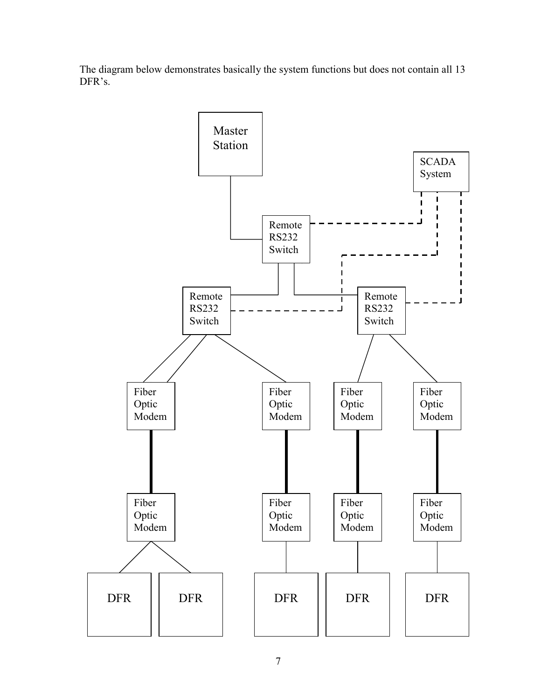The diagram below demonstrates basically the system functions but does not contain all 13 DFR's.

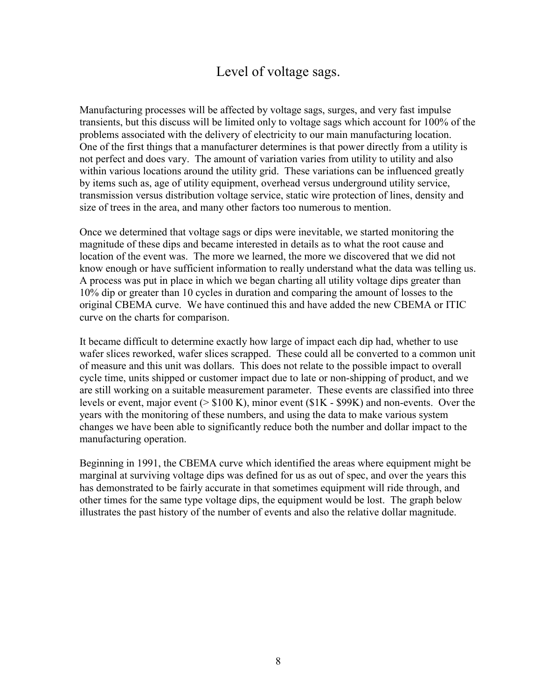# Level of voltage sags.

Manufacturing processes will be affected by voltage sags, surges, and very fast impulse transients, but this discuss will be limited only to voltage sags which account for 100% of the problems associated with the delivery of electricity to our main manufacturing location. One of the first things that a manufacturer determines is that power directly from a utility is not perfect and does vary. The amount of variation varies from utility to utility and also within various locations around the utility grid. These variations can be influenced greatly by items such as, age of utility equipment, overhead versus underground utility service, transmission versus distribution voltage service, static wire protection of lines, density and size of trees in the area, and many other factors too numerous to mention.

Once we determined that voltage sags or dips were inevitable, we started monitoring the magnitude of these dips and became interested in details as to what the root cause and location of the event was. The more we learned, the more we discovered that we did not know enough or have sufficient information to really understand what the data was telling us. A process was put in place in which we began charting all utility voltage dips greater than 10% dip or greater than 10 cycles in duration and comparing the amount of losses to the original CBEMA curve. We have continued this and have added the new CBEMA or ITIC curve on the charts for comparison.

It became difficult to determine exactly how large of impact each dip had, whether to use wafer slices reworked, wafer slices scrapped. These could all be converted to a common unit of measure and this unit was dollars. This does not relate to the possible impact to overall cycle time, units shipped or customer impact due to late or non-shipping of product, and we are still working on a suitable measurement parameter. These events are classified into three levels or event, major event (> \$100 K), minor event (\$1K - \$99K) and non-events. Over the years with the monitoring of these numbers, and using the data to make various system changes we have been able to significantly reduce both the number and dollar impact to the manufacturing operation.

Beginning in 1991, the CBEMA curve which identified the areas where equipment might be marginal at surviving voltage dips was defined for us as out of spec, and over the years this has demonstrated to be fairly accurate in that sometimes equipment will ride through, and other times for the same type voltage dips, the equipment would be lost. The graph below illustrates the past history of the number of events and also the relative dollar magnitude.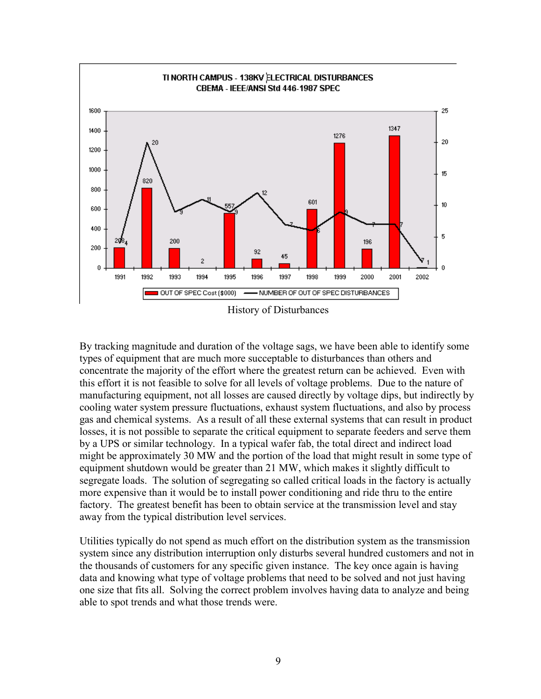

By tracking magnitude and duration of the voltage sags, we have been able to identify some types of equipment that are much more succeptable to disturbances than others and concentrate the majority of the effort where the greatest return can be achieved. Even with this effort it is not feasible to solve for all levels of voltage problems. Due to the nature of manufacturing equipment, not all losses are caused directly by voltage dips, but indirectly by cooling water system pressure fluctuations, exhaust system fluctuations, and also by process gas and chemical systems. As a result of all these external systems that can result in product losses, it is not possible to separate the critical equipment to separate feeders and serve them by a UPS or similar technology. In a typical wafer fab, the total direct and indirect load might be approximately 30 MW and the portion of the load that might result in some type of equipment shutdown would be greater than 21 MW, which makes it slightly difficult to segregate loads. The solution of segregating so called critical loads in the factory is actually more expensive than it would be to install power conditioning and ride thru to the entire factory. The greatest benefit has been to obtain service at the transmission level and stay away from the typical distribution level services.

Utilities typically do not spend as much effort on the distribution system as the transmission system since any distribution interruption only disturbs several hundred customers and not in the thousands of customers for any specific given instance. The key once again is having data and knowing what type of voltage problems that need to be solved and not just having one size that fits all. Solving the correct problem involves having data to analyze and being able to spot trends and what those trends were.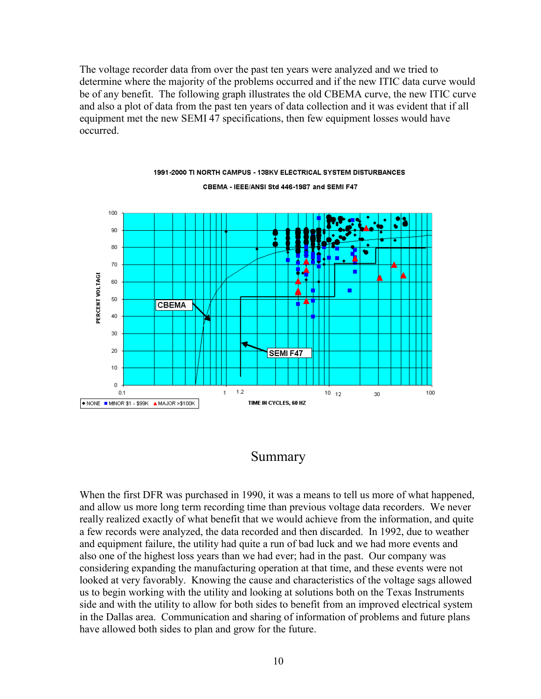The voltage recorder data from over the past ten years were analyzed and we tried to determine where the majority of the problems occurred and if the new ITIC data curve would be of any benefit. The following graph illustrates the old CBEMA curve, the new ITIC curve and also a plot of data from the past ten years of data collection and it was evident that if all equipment met the new SEMI 47 specifications, then few equipment losses would have occurred.



#### 1991-2000 TI NORTH CAMPUS - 138KV ELECTRICAL SYSTEM DISTURBANCES CBEMA - IEEE/ANSI Std 446-1987 and SEMI F47

### Summary

When the first DFR was purchased in 1990, it was a means to tell us more of what happened, and allow us more long term recording time than previous voltage data recorders. We never really realized exactly of what benefit that we would achieve from the information, and quite a few records were analyzed, the data recorded and then discarded. In 1992, due to weather and equipment failure, the utility had quite a run of bad luck and we had more events and also one of the highest loss years than we had ever; had in the past. Our company was considering expanding the manufacturing operation at that time, and these events were not looked at very favorably. Knowing the cause and characteristics of the voltage sags allowed us to begin working with the utility and looking at solutions both on the Texas Instruments side and with the utility to allow for both sides to benefit from an improved electrical system in the Dallas area. Communication and sharing of information of problems and future plans have allowed both sides to plan and grow for the future.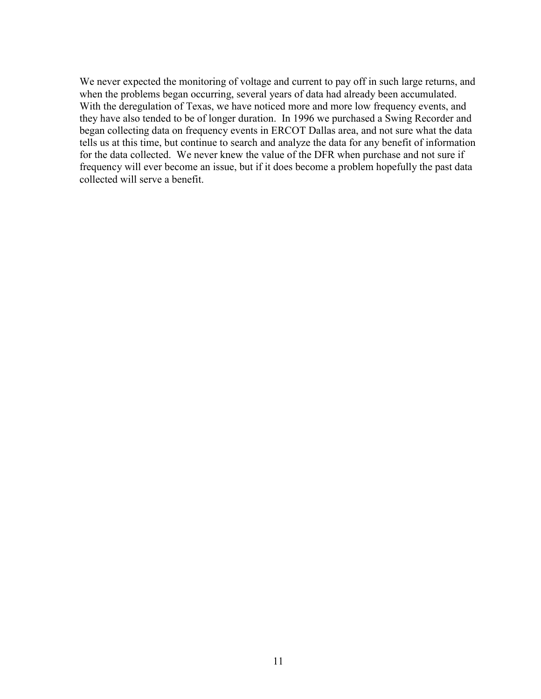We never expected the monitoring of voltage and current to pay off in such large returns, and when the problems began occurring, several years of data had already been accumulated. With the deregulation of Texas, we have noticed more and more low frequency events, and they have also tended to be of longer duration. In 1996 we purchased a Swing Recorder and began collecting data on frequency events in ERCOT Dallas area, and not sure what the data tells us at this time, but continue to search and analyze the data for any benefit of information for the data collected. We never knew the value of the DFR when purchase and not sure if frequency will ever become an issue, but if it does become a problem hopefully the past data collected will serve a benefit.